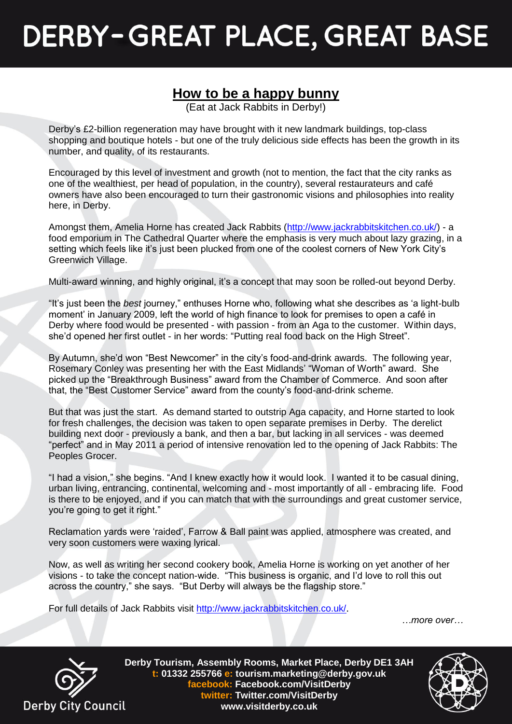## **DERBY-GREAT PLACE, GREAT BASE**

## **How to be a happy bunny**

(Eat at Jack Rabbits in Derby!)

Derby's £2-billion regeneration may have brought with it new landmark buildings, top-class shopping and boutique hotels - but one of the truly delicious side effects has been the growth in its number, and quality, of its restaurants.

Encouraged by this level of investment and growth (not to mention, the fact that the city ranks as one of the wealthiest, per head of population, in the country), several restaurateurs and café owners have also been encouraged to turn their gastronomic visions and philosophies into reality here, in Derby.

Amongst them, Amelia Horne has created Jack Rabbits [\(http://www.jackrabbitskitchen.co.uk/\)](http://www.jackrabbitskitchen.co.uk/) - a food emporium in The Cathedral Quarter where the emphasis is very much about lazy grazing, in a setting which feels like it's just been plucked from one of the coolest corners of New York City's Greenwich Village.

Multi-award winning, and highly original, it's a concept that may soon be rolled-out beyond Derby.

"It's just been the *best* journey," enthuses Horne who, following what she describes as 'a light-bulb moment' in January 2009, left the world of high finance to look for premises to open a café in Derby where food would be presented - with passion - from an Aga to the customer. Within days, she'd opened her first outlet - in her words: "Putting real food back on the High Street".

By Autumn, she'd won "Best Newcomer" in the city's food-and-drink awards. The following year, Rosemary Conley was presenting her with the East Midlands' "Woman of Worth" award. She picked up the "Breakthrough Business" award from the Chamber of Commerce. And soon after that, the "Best Customer Service" award from the county's food-and-drink scheme.

But that was just the start. As demand started to outstrip Aga capacity, and Horne started to look for fresh challenges, the decision was taken to open separate premises in Derby. The derelict building next door - previously a bank, and then a bar, but lacking in all services - was deemed "perfect" and in May 2011 a period of intensive renovation led to the opening of Jack Rabbits: The Peoples Grocer.

"I had a vision," she begins. "And I knew exactly how it would look. I wanted it to be casual dining, urban living, entrancing, continental, welcoming and - most importantly of all - embracing life. Food is there to be enjoyed, and if you can match that with the surroundings and great customer service, you're going to get it right."

Reclamation yards were 'raided', Farrow & Ball paint was applied, atmosphere was created, and very soon customers were waxing lyrical.

Now, as well as writing her second cookery book, Amelia Horne is working on yet another of her visions - to take the concept nation-wide. "This business is organic, and I'd love to roll this out across the country," she says. "But Derby will always be the flagship store."

For full details of Jack Rabbits visit<http://www.jackrabbitskitchen.co.uk/>.

*…more over…*



**Derby Tourism, Assembly Rooms, Market Place, Derby DE1 3AH t: 01332 255766 e: tourism.marketing@derby.gov.uk facebook: Facebook.com/VisitDerby twitter: Twitter.com/VisitDerby www.visitderby.co.uk**